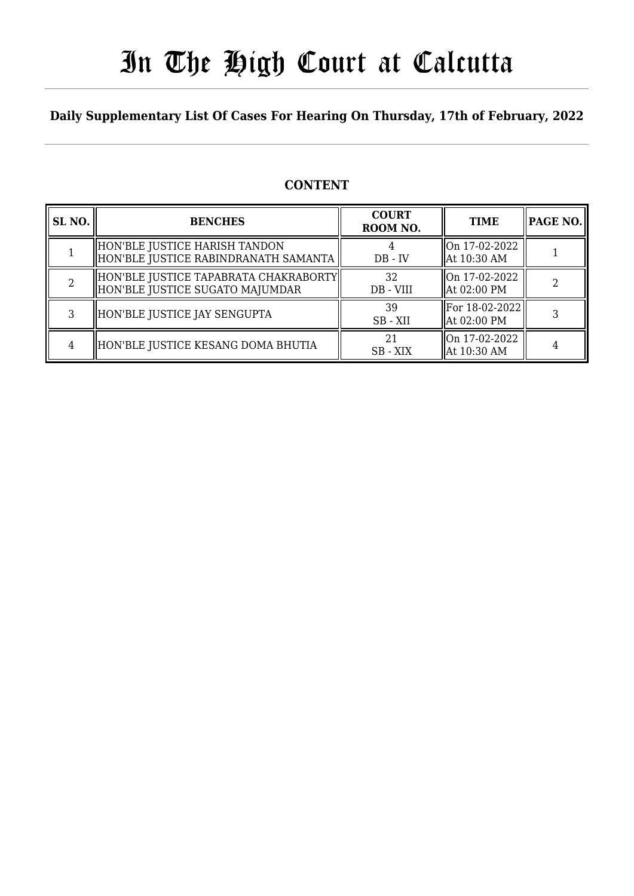# In The High Court at Calcutta

### **Daily Supplementary List Of Cases For Hearing On Thursday, 17th of February, 2022**

### **CONTENT**

| SL <sub>NO.</sub> | <b>BENCHES</b>                                                            | <b>COURT</b><br>ROOM NO. | <b>TIME</b>                   | <b>PAGE NO.</b> |
|-------------------|---------------------------------------------------------------------------|--------------------------|-------------------------------|-----------------|
|                   | HON'BLE JUSTICE HARISH TANDON<br>HON'BLE JUSTICE RABINDRANATH SAMANTA     | $DB - IV$                | On 17-02-2022<br>At 10:30 AM  |                 |
|                   | HON'BLE JUSTICE TAPABRATA CHAKRABORTY <br>HON'BLE JUSTICE SUGATO MAJUMDAR | 32<br>DB - VIII          | On 17-02-2022<br>At 02:00 PM  |                 |
| 3                 | HON'BLE JUSTICE JAY SENGUPTA                                              | 39<br>SB - XII           | For 18-02-2022<br>At 02:00 PM |                 |
| 4                 | HON'BLE JUSTICE KESANG DOMA BHUTIA                                        | 2.1<br>SB - XIX          | On 17-02-2022<br>At 10:30 AM  |                 |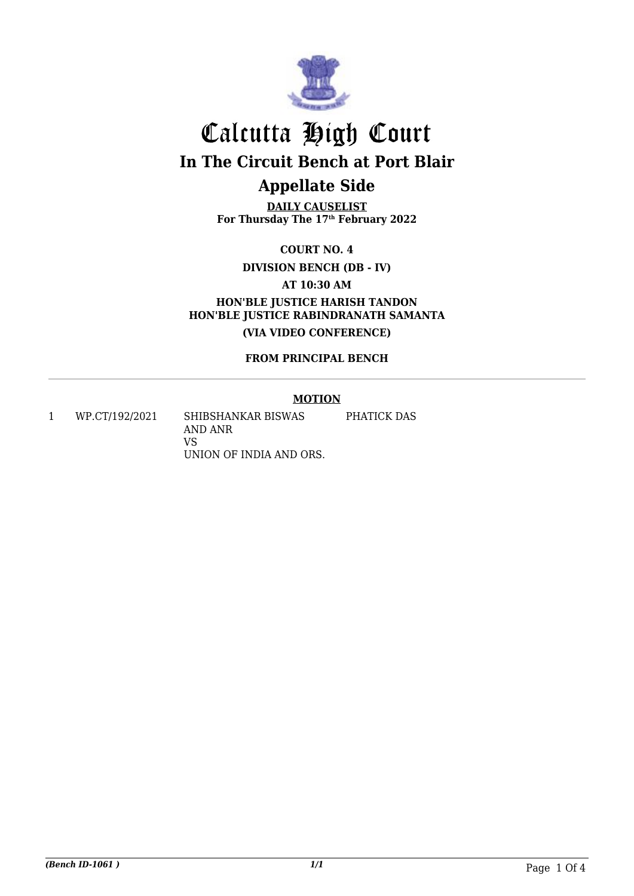

# Calcutta High Court **In The Circuit Bench at Port Blair Appellate Side**

**DAILY CAUSELIST For Thursday The 17th February 2022**

**COURT NO. 4**

**DIVISION BENCH (DB - IV)**

**AT 10:30 AM**

**HON'BLE JUSTICE HARISH TANDON HON'BLE JUSTICE RABINDRANATH SAMANTA (VIA VIDEO CONFERENCE)**

**FROM PRINCIPAL BENCH**

#### **MOTION**

1 WP.CT/192/2021 SHIBSHANKAR BISWAS AND ANR VS UNION OF INDIA AND ORS. PHATICK DAS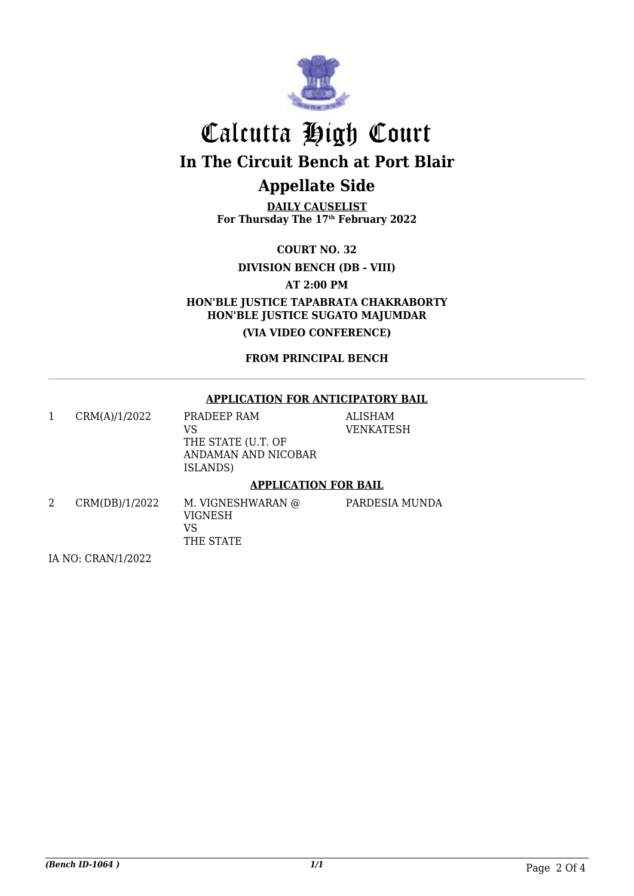

# Calcutta High Court **In The Circuit Bench at Port Blair**

## **Appellate Side**

**DAILY CAUSELIST For Thursday The 17th February 2022**

**COURT NO. 32**

**DIVISION BENCH (DB - VIII)**

**AT 2:00 PM**

**HON'BLE JUSTICE TAPABRATA CHAKRABORTY HON'BLE JUSTICE SUGATO MAJUMDAR**

**(VIA VIDEO CONFERENCE)**

**FROM PRINCIPAL BENCH**

#### **APPLICATION FOR ANTICIPATORY BAIL**

|   | CRM(A)/1/2022  | PRADEEP RAM<br>VS<br>THE STATE (U.T. OF<br>ANDAMAN AND NICOBAR<br>ISLANDS) | <b>ALISHAM</b><br><b>VENKATESH</b> |  |  |
|---|----------------|----------------------------------------------------------------------------|------------------------------------|--|--|
|   |                | <b>APPLICATION FOR BAIL</b>                                                |                                    |  |  |
| 2 | CRM(DB)/1/2022 | M. VIGNESHWARAN @<br>VIGNESH<br>VS                                         | PARDESIA MUNDA                     |  |  |

THE STATE

IA NO: CRAN/1/2022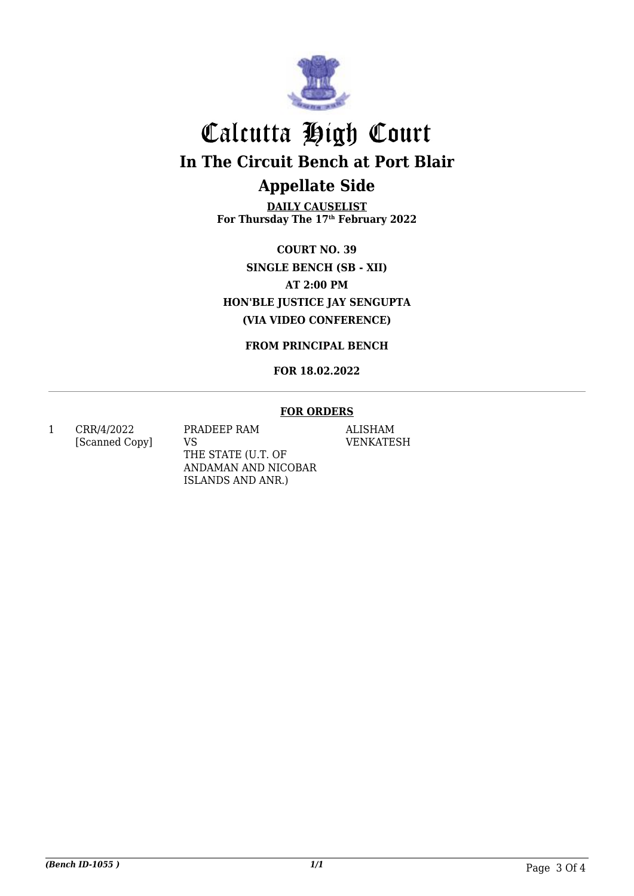

# Calcutta High Court **In The Circuit Bench at Port Blair Appellate Side**

**DAILY CAUSELIST For Thursday The 17th February 2022**

**COURT NO. 39 SINGLE BENCH (SB - XII) AT 2:00 PM HON'BLE JUSTICE JAY SENGUPTA (VIA VIDEO CONFERENCE)**

**FROM PRINCIPAL BENCH**

#### **FOR 18.02.2022**

#### **FOR ORDERS**

1 CRR/4/2022 [Scanned Copy] PRADEEP RAM VS THE STATE (U.T. OF ANDAMAN AND NICOBAR ISLANDS AND ANR.)

ALISHAM VENKATESH